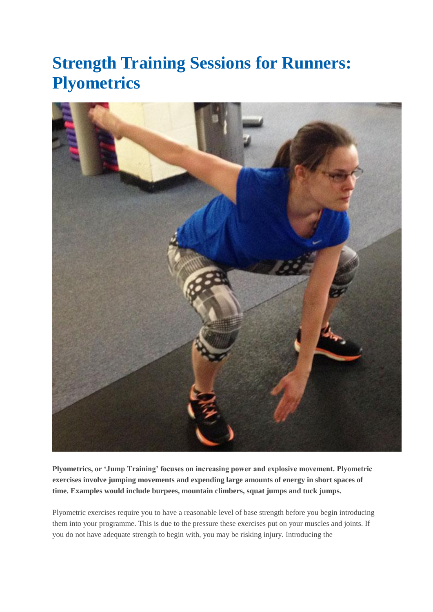# **Strength Training Sessions for Runners: Plyometrics**



**Plyometrics, or 'Jump Training' focuses on increasing power and explosive movement. Plyometric exercises involve jumping movements and expending large amounts of energy in short spaces of time. Examples would include burpees, mountain climbers, squat jumps and tuck jumps.** 

Plyometric exercises require you to have a reasonable level of base strength before you begin introducing them into your programme. This is due to the pressure these exercises put on your muscles and joints. If you do not have adequate strength to begin with, you may be risking injury. Introducing the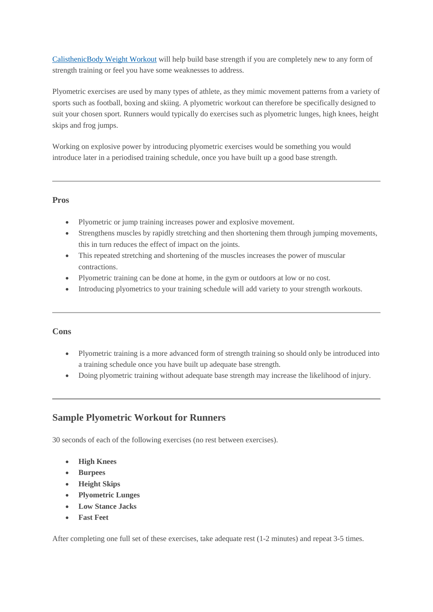[CalisthenicBody Weight Workout](http://www.runandbecome.com/running-training-advice/strength-cross/calisthenics) will help build base strength if you are completely new to any form of strength training or feel you have some weaknesses to address.

Plyometric exercises are used by many types of athlete, as they mimic movement patterns from a variety of sports such as football, boxing and skiing. A plyometric workout can therefore be specifically designed to suit your chosen sport. Runners would typically do exercises such as plyometric lunges, high knees, height skips and frog jumps.

Working on explosive power by introducing plyometric exercises would be something you would introduce later in a periodised training schedule, once you have built up a good base strength.

# **Pros**

- Plyometric or jump training increases power and explosive movement.
- Strengthens muscles by rapidly stretching and then shortening them through jumping movements, this in turn reduces the effect of impact on the joints.
- This repeated stretching and shortening of the muscles increases the power of muscular contractions.
- Plyometric training can be done at home, in the gym or outdoors at low or no cost.
- Introducing plyometrics to your training schedule will add variety to your strength workouts.

# **Cons**

- Plyometric training is a more advanced form of strength training so should only be introduced into a training schedule once you have built up adequate base strength.
- Doing plyometric training without adequate base strength may increase the likelihood of injury.

# **Sample Plyometric Workout for Runners**

30 seconds of each of the following exercises (no rest between exercises).

- **High Knees**
- **Burpees**
- **Height Skips**
- **Plyometric Lunges**
- **Low Stance Jacks**
- **Fast Feet**

After completing one full set of these exercises, take adequate rest (1-2 minutes) and repeat 3-5 times.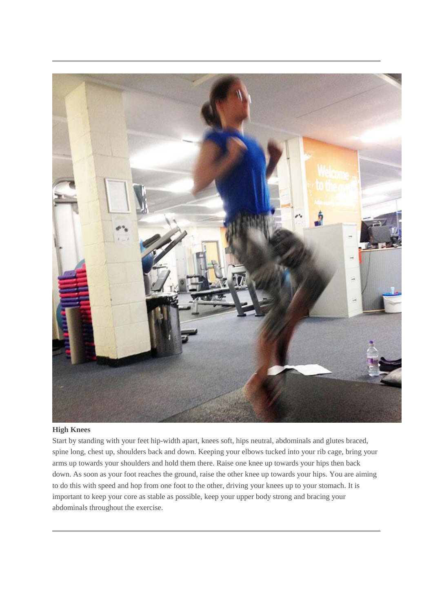

#### **High Knees**

Start by standing with your feet hip-width apart, knees soft, hips neutral, abdominals and glutes braced, spine long, chest up, shoulders back and down. Keeping your elbows tucked into your rib cage, bring your arms up towards your shoulders and hold them there. Raise one knee up towards your hips then back down. As soon as your foot reaches the ground, raise the other knee up towards your hips. You are aiming to do this with speed and hop from one foot to the other, driving your knees up to your stomach. It is important to keep your core as stable as possible, keep your upper body strong and bracing your abdominals throughout the exercise.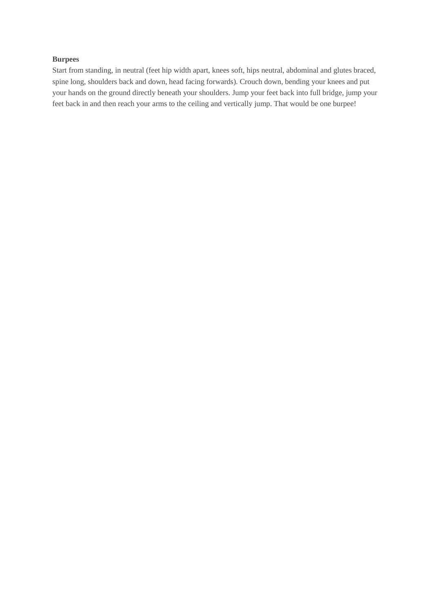### **Burpees**

Start from standing, in neutral (feet hip width apart, knees soft, hips neutral, abdominal and glutes braced, spine long, shoulders back and down, head facing forwards). Crouch down, bending your knees and put your hands on the ground directly beneath your shoulders. Jump your feet back into full bridge, jump your feet back in and then reach your arms to the ceiling and vertically jump. That would be one burpee!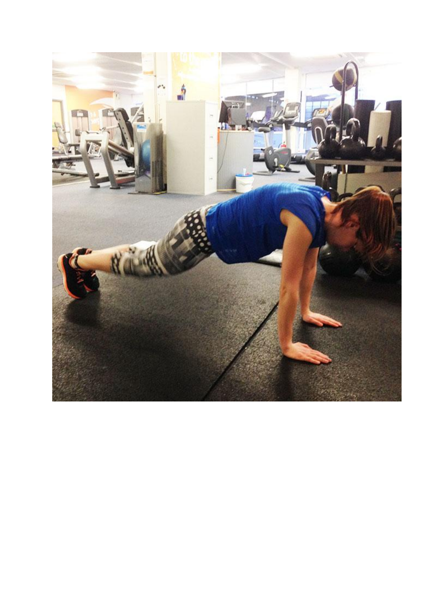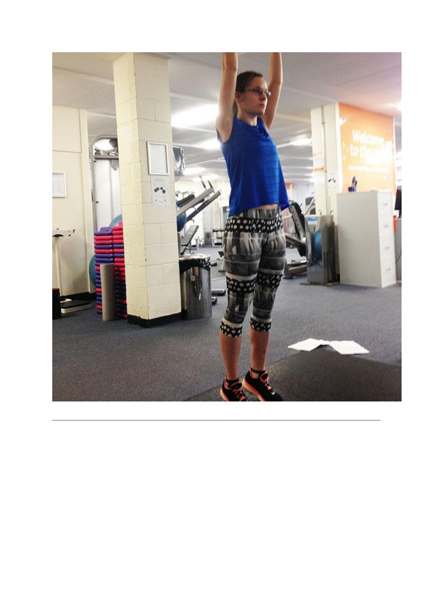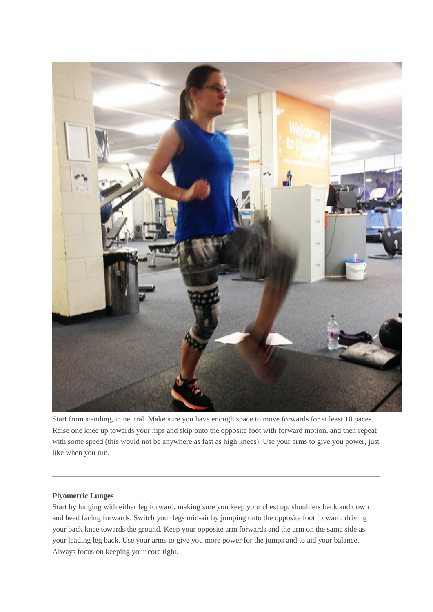

Start from standing, in neutral. Make sure you have enough space to move forwards for at least 10 paces. Raise one knee up towards your hips and skip onto the opposite foot with forward motion, and then repeat with some speed (this would not be anywhere as fast as high knees). Use your arms to give you power, just like when you run.

# **Plyometric Lunges**

Start by lunging with either leg forward, making sure you keep your chest up, shoulders back and down and head facing forwards. Switch your legs mid-air by jumping onto the opposite foot forward, driving your back knee towards the ground. Keep your opposite arm forwards and the arm on the same side as your leading leg back. Use your arms to give you more power for the jumps and to aid your balance. Always focus on keeping your core tight.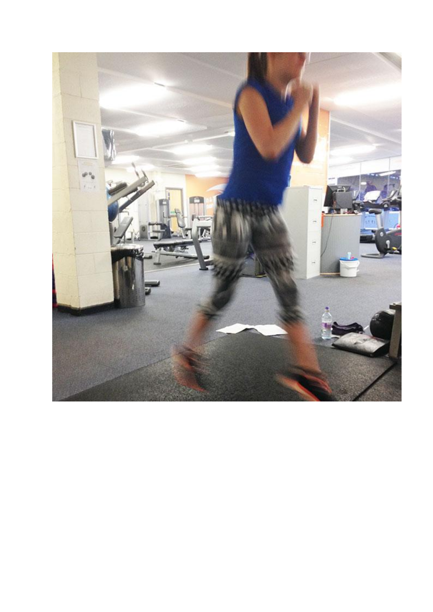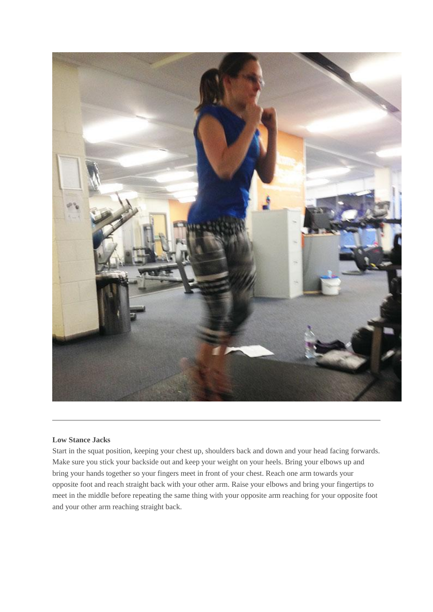

# **Low Stance Jacks**

Start in the squat position, keeping your chest up, shoulders back and down and your head facing forwards. Make sure you stick your backside out and keep your weight on your heels. Bring your elbows up and bring your hands together so your fingers meet in front of your chest. Reach one arm towards your opposite foot and reach straight back with your other arm. Raise your elbows and bring your fingertips to meet in the middle before repeating the same thing with your opposite arm reaching for your opposite foot and your other arm reaching straight back.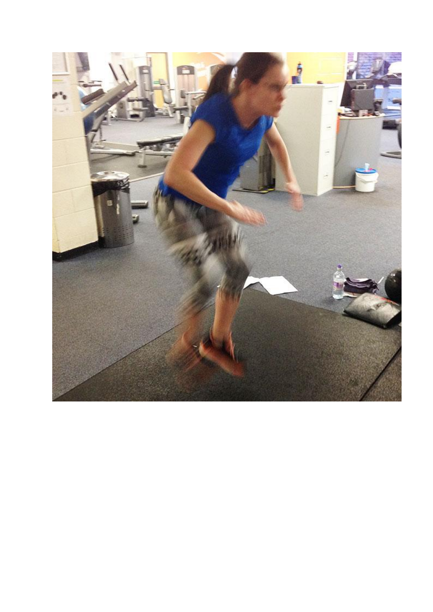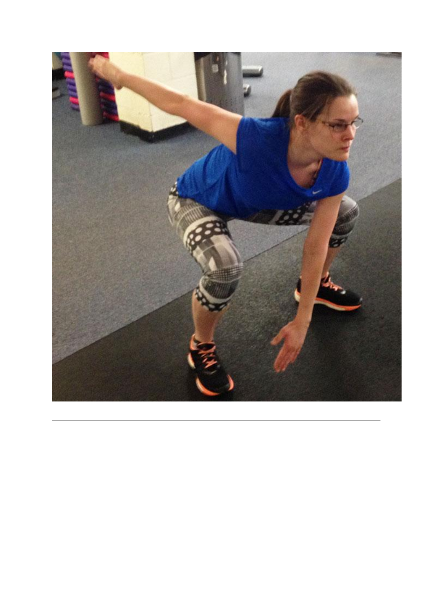